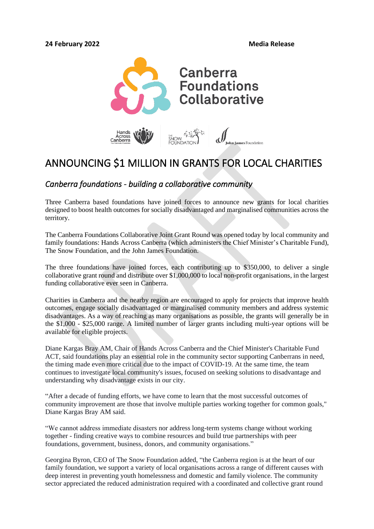

# ANNOUNCING \$1 MILLION IN GRANTS FOR LOCAL CHARITIES

# *Canberra foundations - building a collaborative community*

Three Canberra based foundations have joined forces to announce new grants for local charities designed to boost health outcomes for socially disadvantaged and marginalised communities across the territory.

The Canberra Foundations Collaborative Joint Grant Round was opened today by local community and family foundations: Hands Across Canberra (which administers the Chief Minister's Charitable Fund), The Snow Foundation, and the John James Foundation.

The three foundations have joined forces, each contributing up to \$350,000, to deliver a single collaborative grant round and distribute over \$1,000,000 to local non-profit organisations, in the largest funding collaborative ever seen in Canberra.

Charities in Canberra and the nearby region are encouraged to apply for projects that improve health outcomes, engage socially disadvantaged or marginalised community members and address systemic disadvantages. As a way of reaching as many organisations as possible, the grants will generally be in the \$1,000 - \$25,000 range. A limited number of larger grants including multi-year options will be available for eligible projects.

Diane Kargas Bray AM, Chair of Hands Across Canberra and the Chief Minister's Charitable Fund ACT, said foundations play an essential role in the community sector supporting Canberrans in need, the timing made even more critical due to the impact of COVID-19. At the same time, the team continues to investigate local community's issues, focused on seeking solutions to disadvantage and understanding why disadvantage exists in our city.

"After a decade of funding efforts, we have come to learn that the most successful outcomes of community improvement are those that involve multiple parties working together for common goals," Diane Kargas Bray AM said.

"We cannot address immediate disasters nor address long-term systems change without working together - finding creative ways to combine resources and build true partnerships with peer foundations, government, business, donors, and community organisations."

Georgina Byron, CEO of The Snow Foundation added, "the Canberra region is at the heart of our family foundation, we support a variety of local organisations across a range of different causes with deep interest in preventing youth homelessness and domestic and family violence. The community sector appreciated the reduced administration required with a coordinated and collective grant round